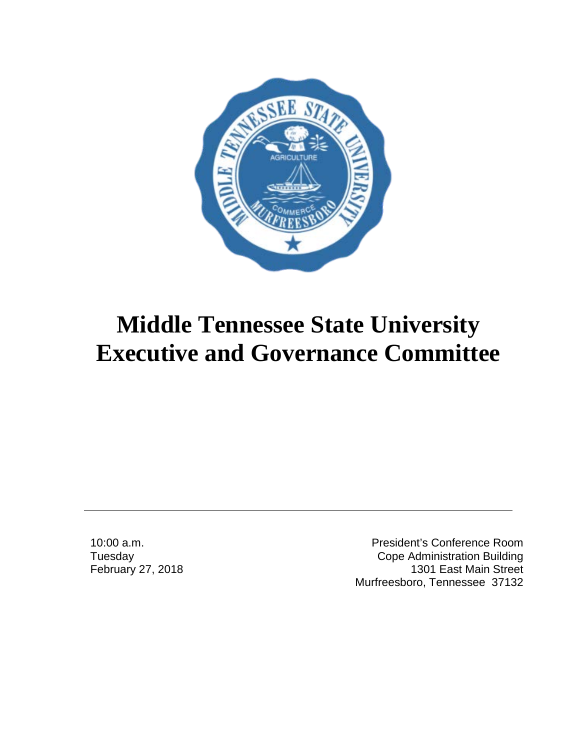

# **Middle Tennessee State University Executive and Governance Committee**

10:00 a.m. **Tuesday** February 27, 2018

President's Conference Room Cope Administration Building 1301 East Main Street Murfreesboro, Tennessee 37132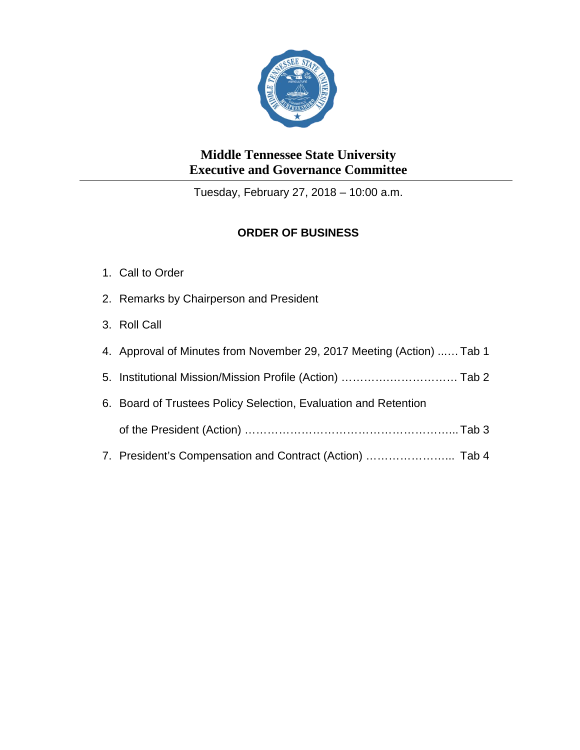

## **Middle Tennessee State University Executive and Governance Committee**

Tuesday, February 27, 2018 – 10:00 a.m.

## **ORDER OF BUSINESS**

| 1. | Call to Order |  |  |
|----|---------------|--|--|
|    |               |  |  |

- 2. Remarks by Chairperson and President
- 3. Roll Call

| 4. Approval of Minutes from November 29, 2017 Meeting (Action)  Tab 1 |
|-----------------------------------------------------------------------|
|                                                                       |
| 6. Board of Trustees Policy Selection, Evaluation and Retention       |
|                                                                       |
| 7. President's Compensation and Contract (Action)  Tab 4              |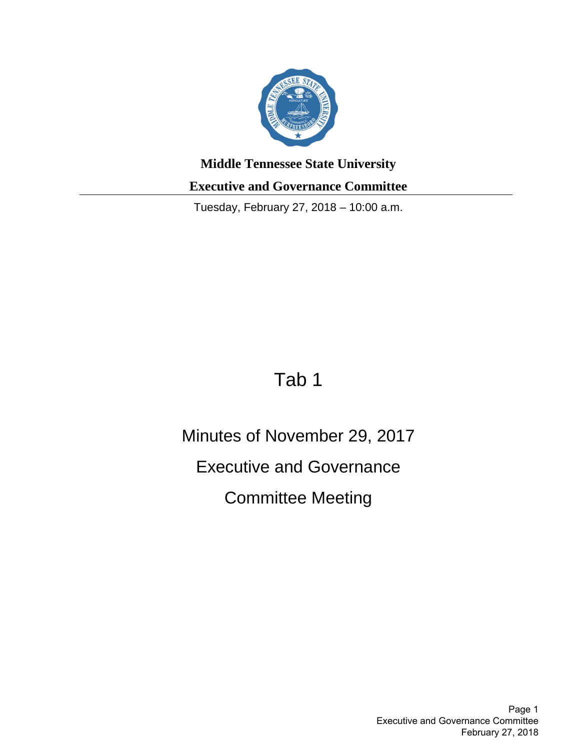

**Middle Tennessee State University**

**Executive and Governance Committee**

Tuesday, February 27, 2018 – 10:00 a.m.

# Tab 1

Minutes of November 29, 2017 Executive and Governance

Committee Meeting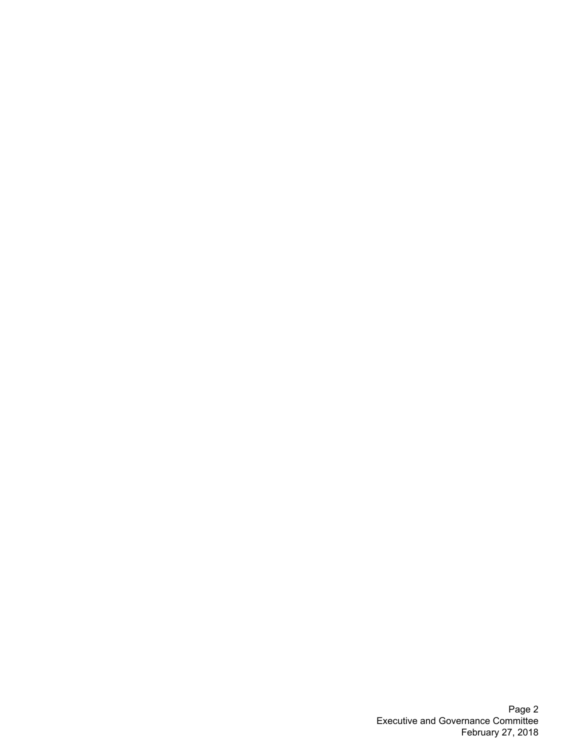Page 2 Executive and Governance Committee February 27, 2018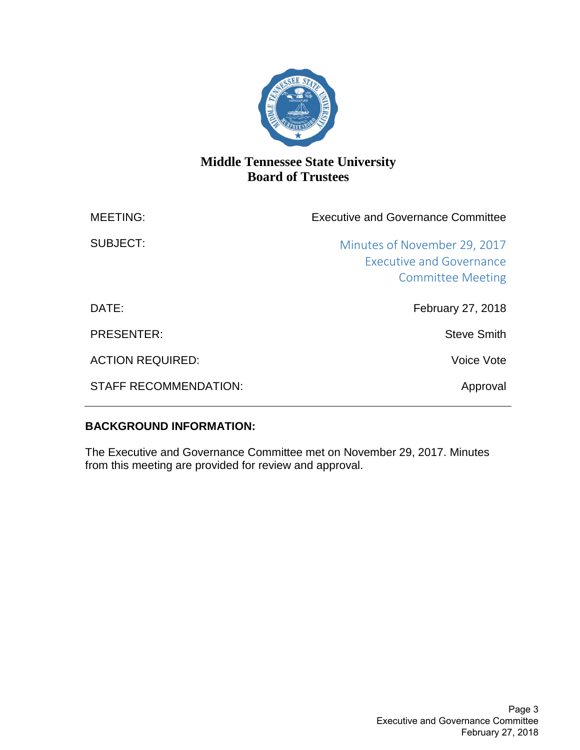

## **Middle Tennessee State University Board of Trustees**

| <b>MEETING:</b>              | <b>Executive and Governance Committee</b>                                                   |
|------------------------------|---------------------------------------------------------------------------------------------|
| <b>SUBJECT:</b>              | Minutes of November 29, 2017<br><b>Executive and Governance</b><br><b>Committee Meeting</b> |
| DATE:                        | February 27, 2018                                                                           |
| <b>PRESENTER:</b>            | <b>Steve Smith</b>                                                                          |
| <b>ACTION REQUIRED:</b>      | Voice Vote                                                                                  |
| <b>STAFF RECOMMENDATION:</b> | Approval                                                                                    |

#### **BACKGROUND INFORMATION:**

The Executive and Governance Committee met on November 29, 2017. Minutes from this meeting are provided for review and approval.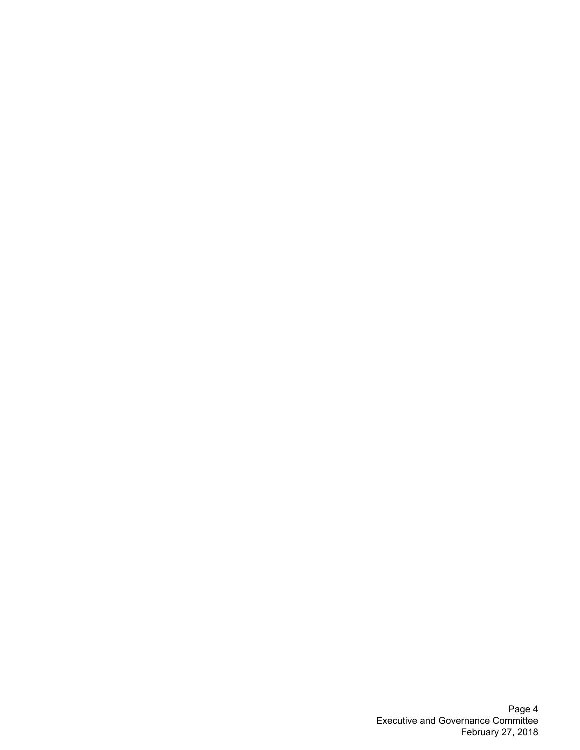Page 4 Executive and Governance Committee February 27, 2018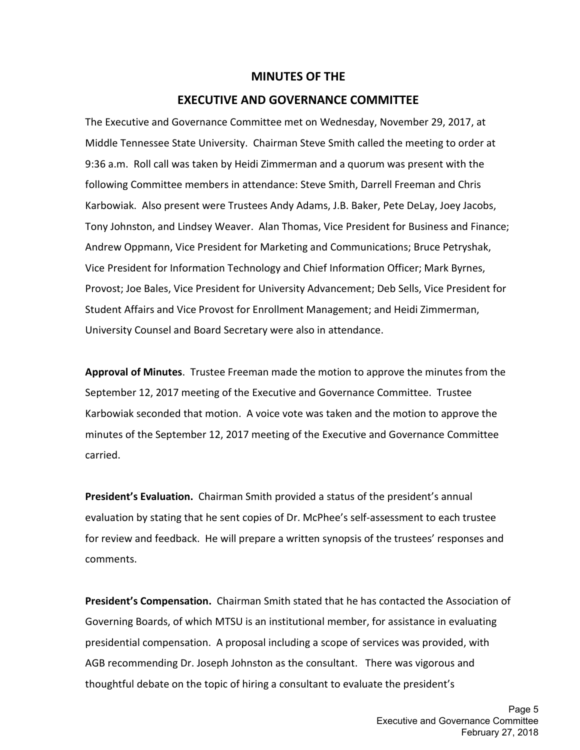#### **MINUTES OF THE**

#### **EXECUTIVE AND GOVERNANCE COMMITTEE**

The Executive and Governance Committee met on Wednesday, November 29, 2017, at Middle Tennessee State University. Chairman Steve Smith called the meeting to order at 9:36 a.m. Roll call was taken by Heidi Zimmerman and a quorum was present with the following Committee members in attendance: Steve Smith, Darrell Freeman and Chris Karbowiak. Also present were Trustees Andy Adams, J.B. Baker, Pete DeLay, Joey Jacobs, Tony Johnston, and Lindsey Weaver. Alan Thomas, Vice President for Business and Finance; Andrew Oppmann, Vice President for Marketing and Communications; Bruce Petryshak, Vice President for Information Technology and Chief Information Officer; Mark Byrnes, Provost; Joe Bales, Vice President for University Advancement; Deb Sells, Vice President for Student Affairs and Vice Provost for Enrollment Management; and Heidi Zimmerman, University Counsel and Board Secretary were also in attendance.

**Approval of Minutes**. Trustee Freeman made the motion to approve the minutes from the September 12, 2017 meeting of the Executive and Governance Committee. Trustee Karbowiak seconded that motion. A voice vote was taken and the motion to approve the minutes of the September 12, 2017 meeting of the Executive and Governance Committee carried.

**President's Evaluation.** Chairman Smith provided a status of the president's annual evaluation by stating that he sent copies of Dr. McPhee's self-assessment to each trustee for review and feedback. He will prepare a written synopsis of the trustees' responses and comments.

**President's Compensation.** Chairman Smith stated that he has contacted the Association of Governing Boards, of which MTSU is an institutional member, for assistance in evaluating presidential compensation. A proposal including a scope of services was provided, with AGB recommending Dr. Joseph Johnston as the consultant. There was vigorous and thoughtful debate on the topic of hiring a consultant to evaluate the president's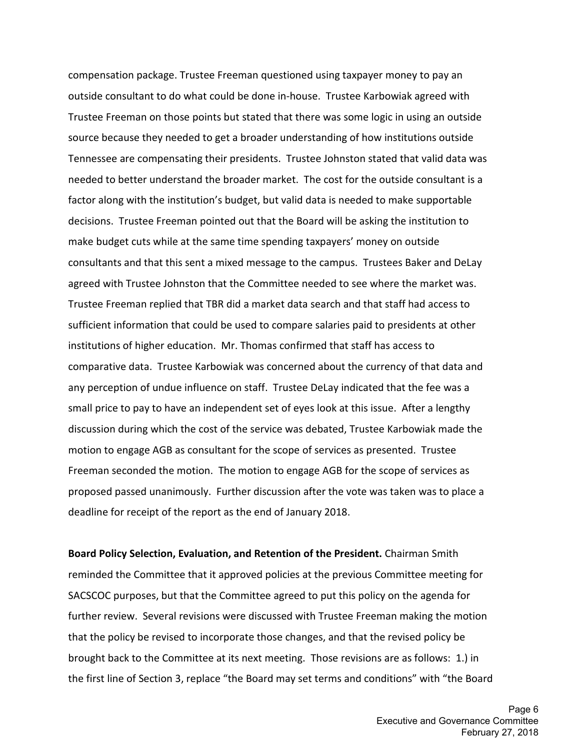compensation package. Trustee Freeman questioned using taxpayer money to pay an outside consultant to do what could be done in-house. Trustee Karbowiak agreed with Trustee Freeman on those points but stated that there was some logic in using an outside source because they needed to get a broader understanding of how institutions outside Tennessee are compensating their presidents. Trustee Johnston stated that valid data was needed to better understand the broader market. The cost for the outside consultant is a factor along with the institution's budget, but valid data is needed to make supportable decisions. Trustee Freeman pointed out that the Board will be asking the institution to make budget cuts while at the same time spending taxpayers' money on outside consultants and that this sent a mixed message to the campus. Trustees Baker and DeLay agreed with Trustee Johnston that the Committee needed to see where the market was. Trustee Freeman replied that TBR did a market data search and that staff had access to sufficient information that could be used to compare salaries paid to presidents at other institutions of higher education. Mr. Thomas confirmed that staff has access to comparative data. Trustee Karbowiak was concerned about the currency of that data and any perception of undue influence on staff. Trustee DeLay indicated that the fee was a small price to pay to have an independent set of eyes look at this issue. After a lengthy discussion during which the cost of the service was debated, Trustee Karbowiak made the motion to engage AGB as consultant for the scope of services as presented. Trustee Freeman seconded the motion. The motion to engage AGB for the scope of services as proposed passed unanimously. Further discussion after the vote was taken was to place a deadline for receipt of the report as the end of January 2018.

**Board Policy Selection, Evaluation, and Retention of the President.** Chairman Smith reminded the Committee that it approved policies at the previous Committee meeting for SACSCOC purposes, but that the Committee agreed to put this policy on the agenda for further review. Several revisions were discussed with Trustee Freeman making the motion that the policy be revised to incorporate those changes, and that the revised policy be brought back to the Committee at its next meeting. Those revisions are as follows: 1.) in the first line of Section 3, replace "the Board may set terms and conditions" with "the Board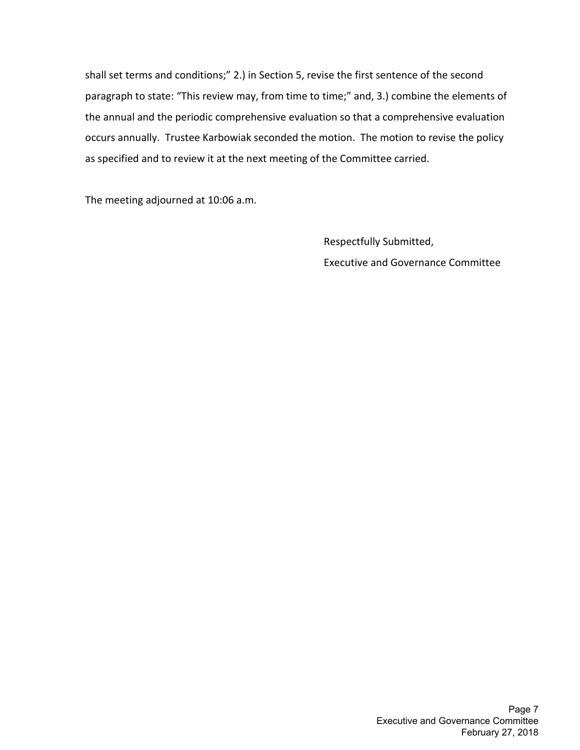shall set terms and conditions;" 2.) in Section 5, revise the first sentence of the second paragraph to state: "This review may, from time to time;" and, 3.) combine the elements of the annual and the periodic comprehensive evaluation so that a comprehensive evaluation occurs annually. Trustee Karbowiak seconded the motion. The motion to revise the policy as specified and to review it at the next meeting of the Committee carried.

The meeting adjourned at 10:06 a.m.

Respectfully Submitted, Executive and Governance Committee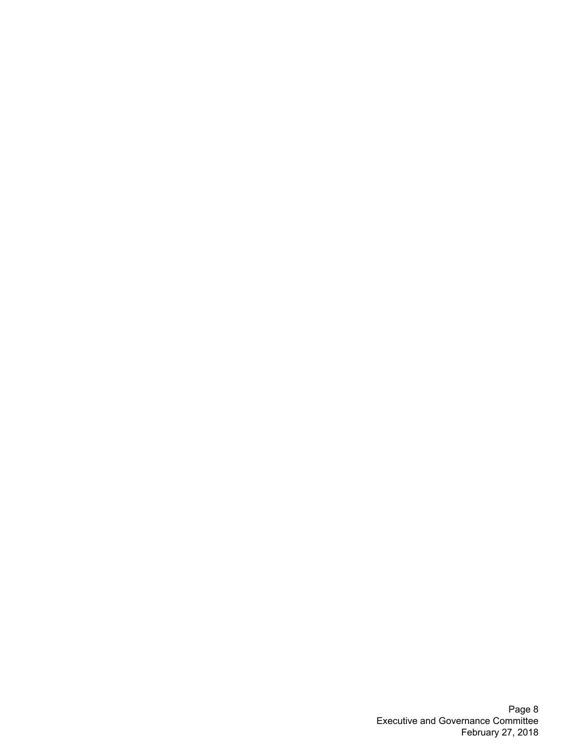Page 8 Executive and Governance Committee February 27, 2018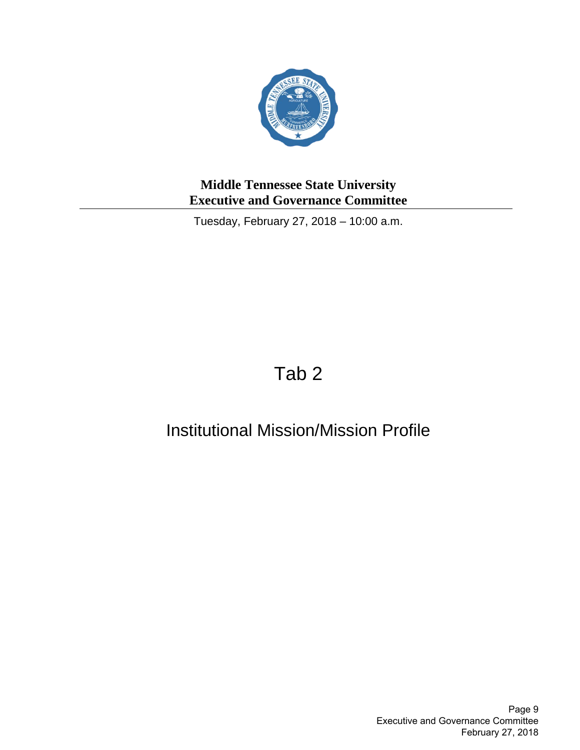

## **Middle Tennessee State University Executive and Governance Committee**

Tuesday, February 27, 2018 – 10:00 a.m.

# Tab 2

## Institutional Mission/Mission Profile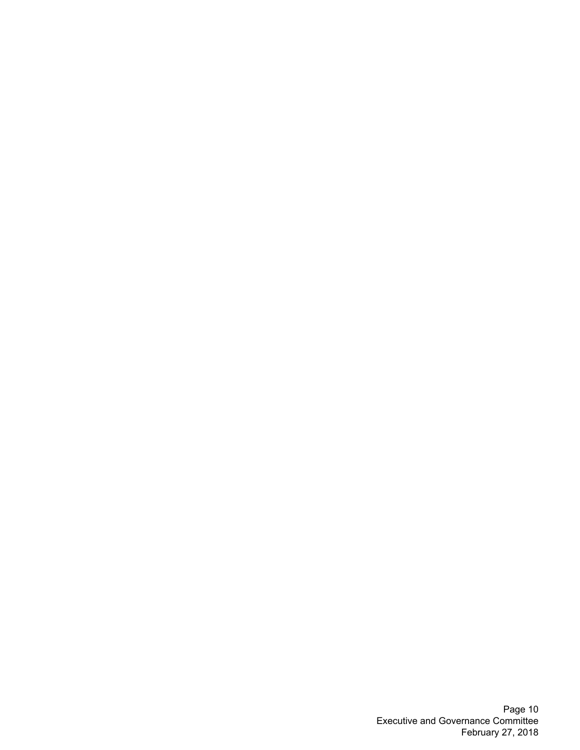Page 10 Executive and Governance Committee February 27, 2018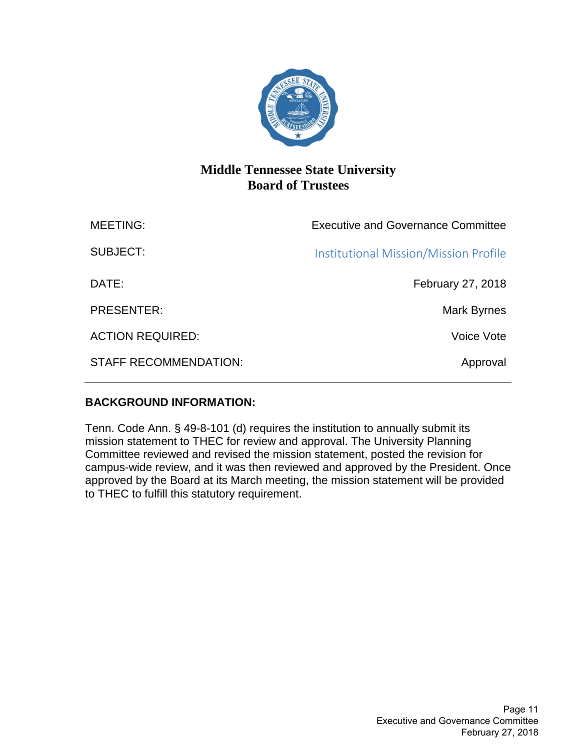

## **Middle Tennessee State University Board of Trustees**

| <b>MEETING:</b>              | <b>Executive and Governance Committee</b>    |
|------------------------------|----------------------------------------------|
| SUBJECT:                     | <b>Institutional Mission/Mission Profile</b> |
| DATE:                        | February 27, 2018                            |
| <b>PRESENTER:</b>            | Mark Byrnes                                  |
| <b>ACTION REQUIRED:</b>      | Voice Vote                                   |
| <b>STAFF RECOMMENDATION:</b> | Approval                                     |

### **BACKGROUND INFORMATION:**

Tenn. Code Ann. § 49-8-101 (d) requires the institution to annually submit its mission statement to THEC for review and approval. The University Planning Committee reviewed and revised the mission statement, posted the revision for campus-wide review, and it was then reviewed and approved by the President. Once approved by the Board at its March meeting, the mission statement will be provided to THEC to fulfill this statutory requirement.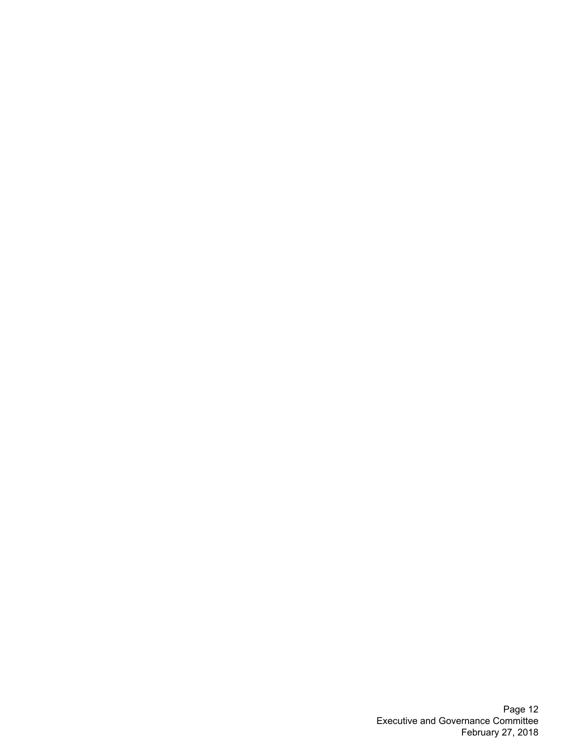Page 12 Executive and Governance Committee February 27, 2018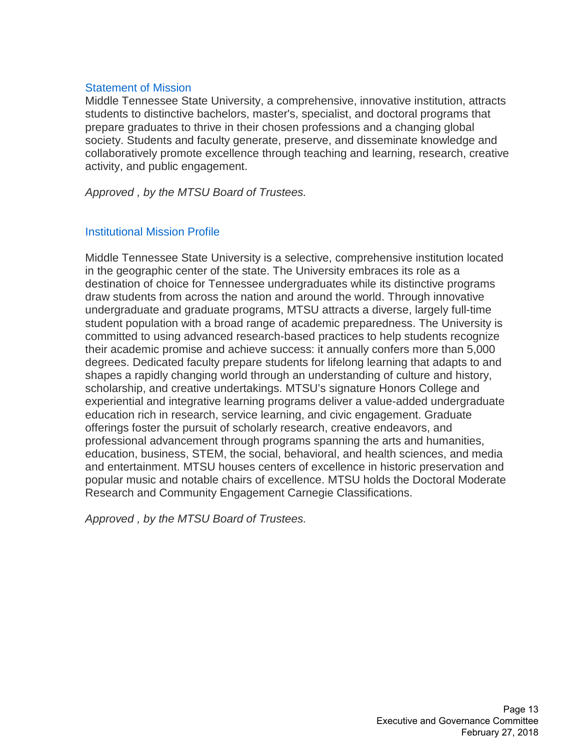#### Statement of Mission

Middle Tennessee State University, a comprehensive, innovative institution, attracts students to distinctive bachelors, master's, specialist, and doctoral programs that prepare graduates to thrive in their chosen professions and a changing global society. Students and faculty generate, preserve, and disseminate knowledge and collaboratively promote excellence through teaching and learning, research, creative activity, and public engagement.

*Approved , by the MTSU Board of Trustees.* 

#### Institutional Mission Profile

Middle Tennessee State University is a selective, comprehensive institution located in the geographic center of the state. The University embraces its role as a destination of choice for Tennessee undergraduates while its distinctive programs draw students from across the nation and around the world. Through innovative undergraduate and graduate programs, MTSU attracts a diverse, largely full-time student population with a broad range of academic preparedness. The University is committed to using advanced research-based practices to help students recognize their academic promise and achieve success: it annually confers more than 5,000 degrees. Dedicated faculty prepare students for lifelong learning that adapts to and shapes a rapidly changing world through an understanding of culture and history, scholarship, and creative undertakings. MTSU's signature Honors College and experiential and integrative learning programs deliver a value-added undergraduate education rich in research, service learning, and civic engagement. Graduate offerings foster the pursuit of scholarly research, creative endeavors, and professional advancement through programs spanning the arts and humanities, education, business, STEM, the social, behavioral, and health sciences, and media and entertainment. MTSU houses centers of excellence in historic preservation and popular music and notable chairs of excellence. MTSU holds the Doctoral Moderate Research and Community Engagement Carnegie Classifications.

*Approved , by the MTSU Board of Trustees.*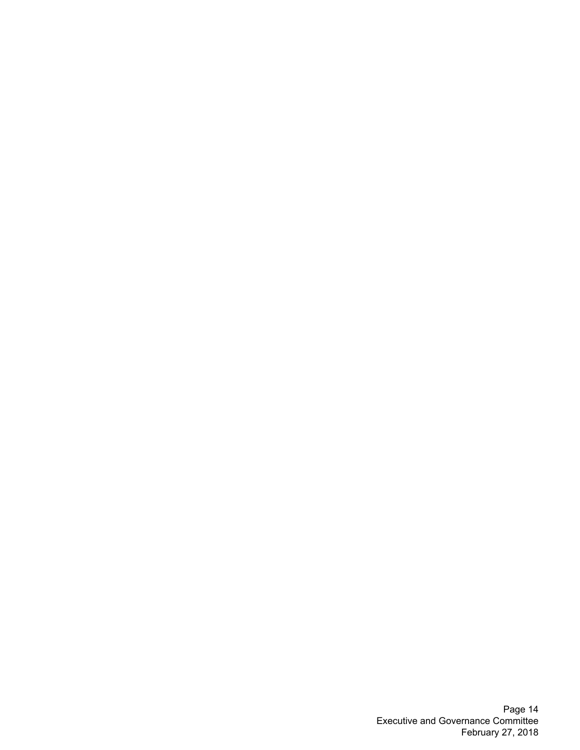Page 14 Executive and Governance Committee February 27, 2018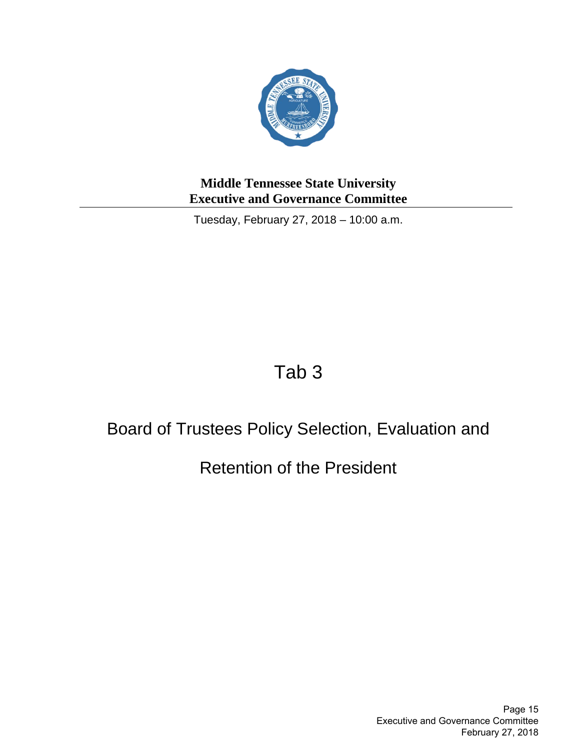

## **Middle Tennessee State University Executive and Governance Committee**

Tuesday, February 27, 2018 – 10:00 a.m.

# Tab 3

## Board of Trustees Policy Selection, Evaluation and

## Retention of the President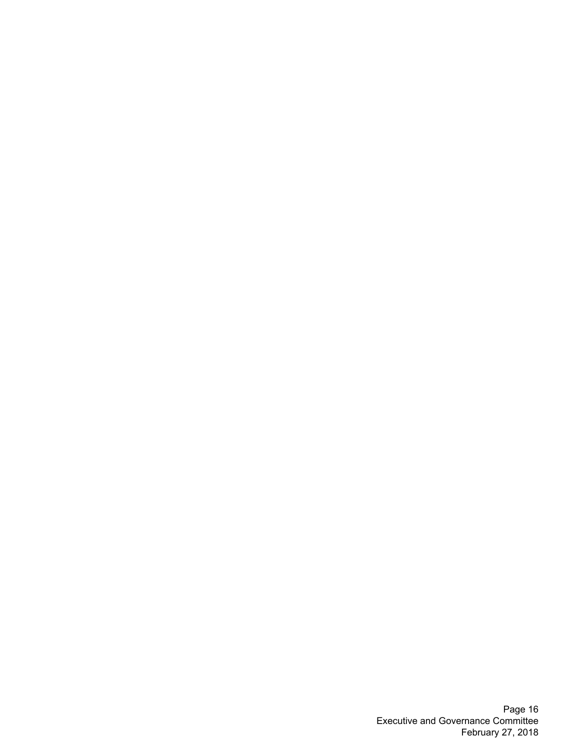Page 16 Executive and Governance Committee February 27, 2018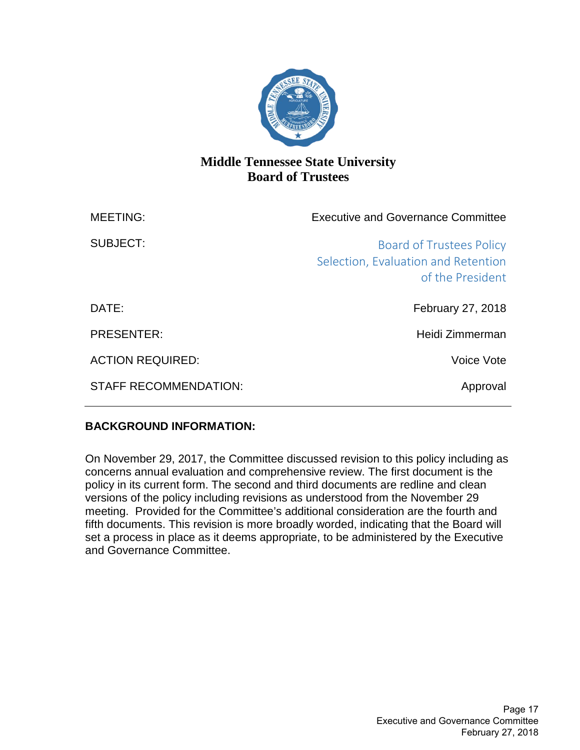

## **Middle Tennessee State University Board of Trustees**

| <b>MEETING:</b>              | <b>Executive and Governance Committee</b>                                                  |
|------------------------------|--------------------------------------------------------------------------------------------|
| SUBJECT:                     | <b>Board of Trustees Policy</b><br>Selection, Evaluation and Retention<br>of the President |
| DATE:                        | February 27, 2018                                                                          |
| <b>PRESENTER:</b>            | Heidi Zimmerman                                                                            |
| <b>ACTION REQUIRED:</b>      | Voice Vote                                                                                 |
| <b>STAFF RECOMMENDATION:</b> | Approval                                                                                   |

#### **BACKGROUND INFORMATION:**

On November 29, 2017, the Committee discussed revision to this policy including as concerns annual evaluation and comprehensive review. The first document is the policy in its current form. The second and third documents are redline and clean versions of the policy including revisions as understood from the November 29 meeting. Provided for the Committee's additional consideration are the fourth and fifth documents. This revision is more broadly worded, indicating that the Board will set a process in place as it deems appropriate, to be administered by the Executive and Governance Committee.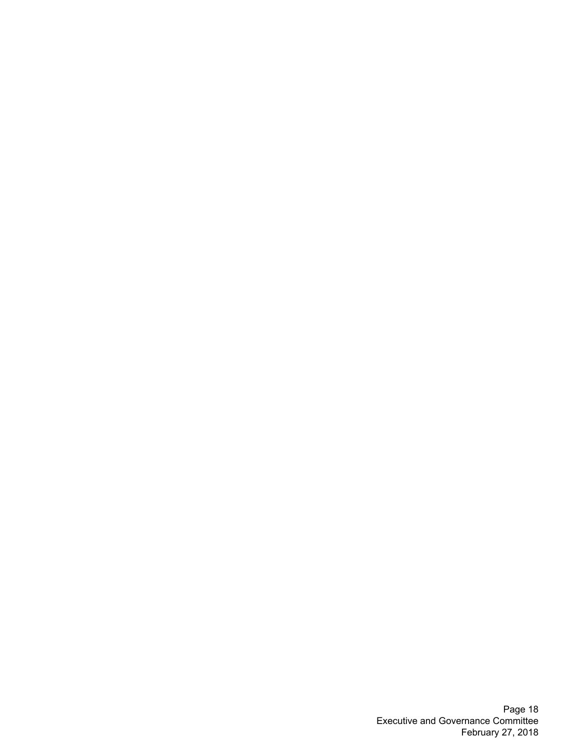Page 18 Executive and Governance Committee February 27, 2018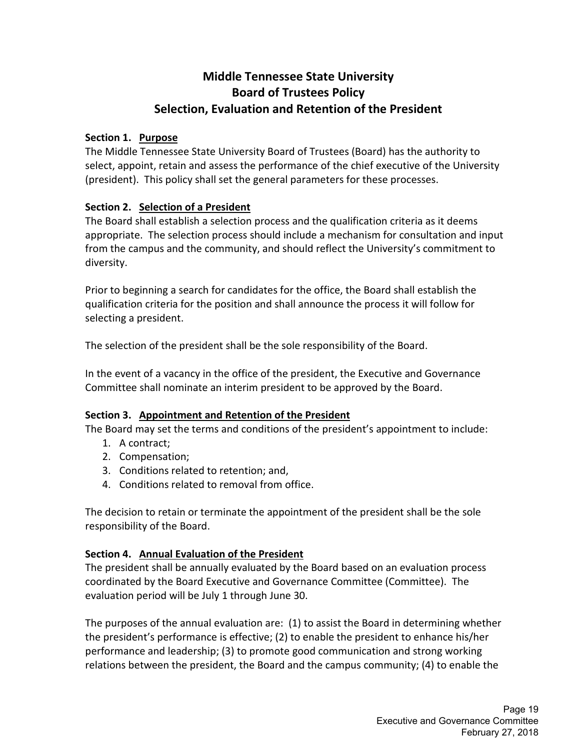## **Middle Tennessee State University Board of Trustees Policy Selection, Evaluation and Retention of the President**

#### **Section 1. Purpose**

The Middle Tennessee State University Board of Trustees (Board) has the authority to select, appoint, retain and assess the performance of the chief executive of the University (president). This policy shall set the general parameters for these processes.

#### **Section 2. Selection of a President**

The Board shall establish a selection process and the qualification criteria as it deems appropriate. The selection process should include a mechanism for consultation and input from the campus and the community, and should reflect the University's commitment to diversity.

Prior to beginning a search for candidates for the office, the Board shall establish the qualification criteria for the position and shall announce the process it will follow for selecting a president.

The selection of the president shall be the sole responsibility of the Board.

In the event of a vacancy in the office of the president, the Executive and Governance Committee shall nominate an interim president to be approved by the Board.

#### **Section 3. Appointment and Retention of the President**

The Board may set the terms and conditions of the president's appointment to include:

- 1. A contract;
- 2. Compensation;
- 3. Conditions related to retention; and,
- 4. Conditions related to removal from office.

The decision to retain or terminate the appointment of the president shall be the sole responsibility of the Board.

#### **Section 4. Annual Evaluation of the President**

The president shall be annually evaluated by the Board based on an evaluation process coordinated by the Board Executive and Governance Committee (Committee). The evaluation period will be July 1 through June 30.

The purposes of the annual evaluation are: (1) to assist the Board in determining whether the president's performance is effective; (2) to enable the president to enhance his/her performance and leadership; (3) to promote good communication and strong working relations between the president, the Board and the campus community; (4) to enable the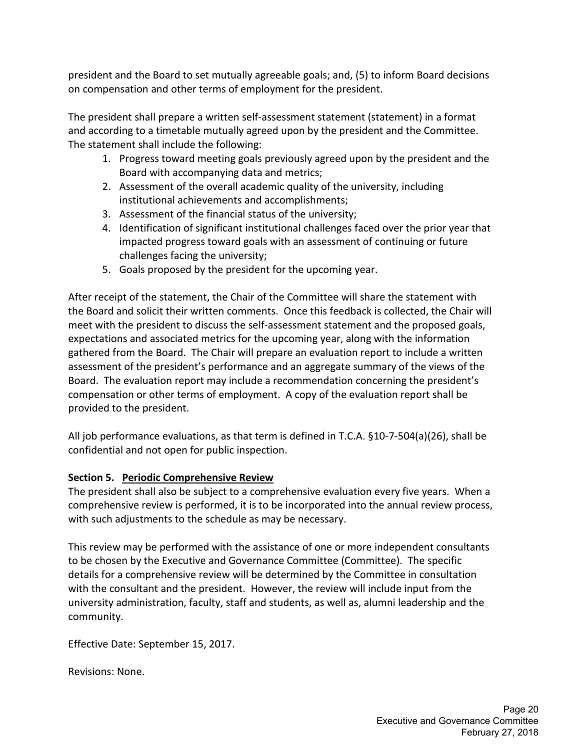president and the Board to set mutually agreeable goals; and, (5) to inform Board decisions on compensation and other terms of employment for the president.

The president shall prepare a written self-assessment statement (statement) in a format and according to a timetable mutually agreed upon by the president and the Committee. The statement shall include the following:

- 1. Progress toward meeting goals previously agreed upon by the president and the Board with accompanying data and metrics;
- 2. Assessment of the overall academic quality of the university, including institutional achievements and accomplishments;
- 3. Assessment of the financial status of the university;
- 4. Identification of significant institutional challenges faced over the prior year that impacted progress toward goals with an assessment of continuing or future challenges facing the university;
- 5. Goals proposed by the president for the upcoming year.

After receipt of the statement, the Chair of the Committee will share the statement with the Board and solicit their written comments. Once this feedback is collected, the Chair will meet with the president to discuss the self-assessment statement and the proposed goals, expectations and associated metrics for the upcoming year, along with the information gathered from the Board. The Chair will prepare an evaluation report to include a written assessment of the president's performance and an aggregate summary of the views of the Board. The evaluation report may include a recommendation concerning the president's compensation or other terms of employment. A copy of the evaluation report shall be provided to the president.

All job performance evaluations, as that term is defined in T.C.A. §10-7-504(a)(26), shall be confidential and not open for public inspection.

#### **Section 5. Periodic Comprehensive Review**

The president shall also be subject to a comprehensive evaluation every five years. When a comprehensive review is performed, it is to be incorporated into the annual review process, with such adjustments to the schedule as may be necessary.

This review may be performed with the assistance of one or more independent consultants to be chosen by the Executive and Governance Committee (Committee). The specific details for a comprehensive review will be determined by the Committee in consultation with the consultant and the president. However, the review will include input from the university administration, faculty, staff and students, as well as, alumni leadership and the community.

Effective Date: September 15, 2017.

Revisions: None.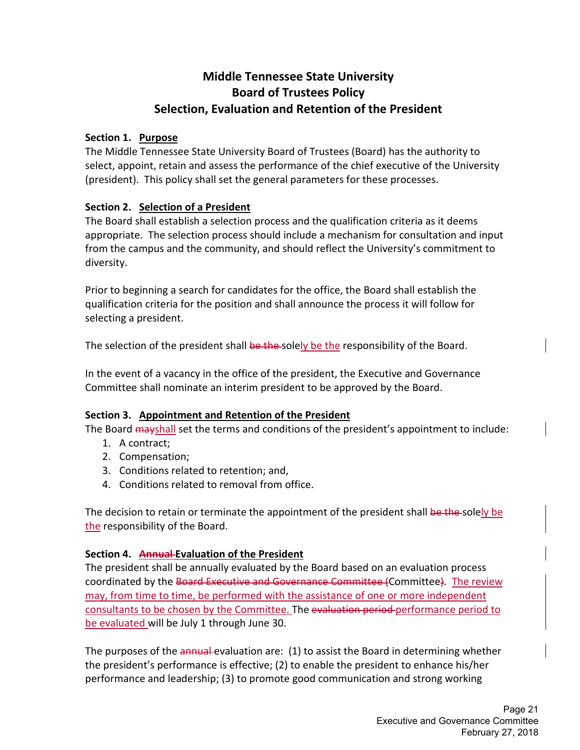## **Middle Tennessee State University Board of Trustees Policy Selection, Evaluation and Retention of the President**

#### **Section 1. Purpose**

The Middle Tennessee State University Board of Trustees (Board) has the authority to select, appoint, retain and assess the performance of the chief executive of the University (president). This policy shall set the general parameters for these processes.

#### **Section 2. Selection of a President**

The Board shall establish a selection process and the qualification criteria as it deems appropriate. The selection process should include a mechanism for consultation and input from the campus and the community, and should reflect the University's commitment to diversity.

Prior to beginning a search for candidates for the office, the Board shall establish the qualification criteria for the position and shall announce the process it will follow for selecting a president.

The selection of the president shall be the solely be the responsibility of the Board.

In the event of a vacancy in the office of the president, the Executive and Governance Committee shall nominate an interim president to be approved by the Board.

#### **Section 3. Appointment and Retention of the President**

The Board mayshall set the terms and conditions of the president's appointment to include:

- 1. A contract;
- 2. Compensation;
- 3. Conditions related to retention; and,
- 4. Conditions related to removal from office.

The decision to retain or terminate the appointment of the president shall be the solely be the responsibility of the Board.

#### **Section 4. Annual Evaluation of the President**

The president shall be annually evaluated by the Board based on an evaluation process coordinated by the Board Executive and Governance Committee (Committee). The review may, from time to time, be performed with the assistance of one or more independent consultants to be chosen by the Committee. The evaluation period-performance period to be evaluated will be July 1 through June 30.

The purposes of the annual-evaluation are: (1) to assist the Board in determining whether the president's performance is effective; (2) to enable the president to enhance his/her performance and leadership; (3) to promote good communication and strong working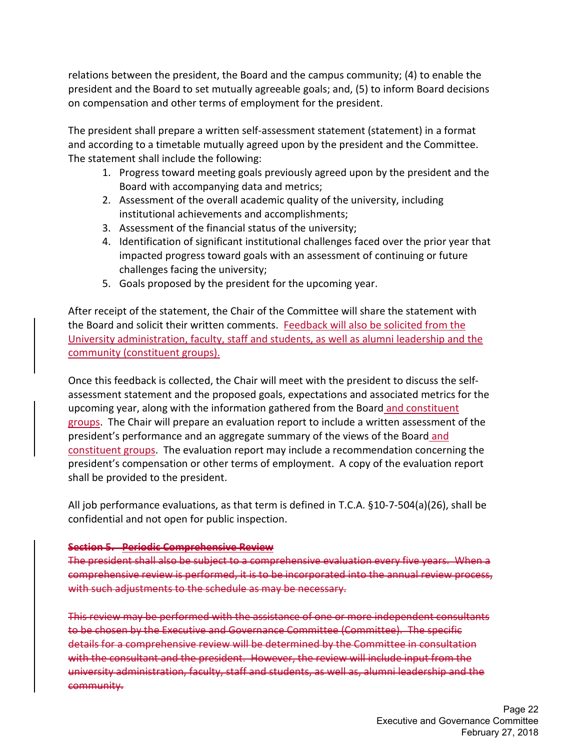relations between the president, the Board and the campus community; (4) to enable the president and the Board to set mutually agreeable goals; and, (5) to inform Board decisions on compensation and other terms of employment for the president.

The president shall prepare a written self-assessment statement (statement) in a format and according to a timetable mutually agreed upon by the president and the Committee. The statement shall include the following:

- 1. Progress toward meeting goals previously agreed upon by the president and the Board with accompanying data and metrics;
- 2. Assessment of the overall academic quality of the university, including institutional achievements and accomplishments;
- 3. Assessment of the financial status of the university;
- 4. Identification of significant institutional challenges faced over the prior year that impacted progress toward goals with an assessment of continuing or future challenges facing the university;
- 5. Goals proposed by the president for the upcoming year.

After receipt of the statement, the Chair of the Committee will share the statement with the Board and solicit their written comments. Feedback will also be solicited from the University administration, faculty, staff and students, as well as alumni leadership and the community (constituent groups).

Once this feedback is collected, the Chair will meet with the president to discuss the selfassessment statement and the proposed goals, expectations and associated metrics for the upcoming year, along with the information gathered from the Board and constituent groups. The Chair will prepare an evaluation report to include a written assessment of the president's performance and an aggregate summary of the views of the Board and constituent groups. The evaluation report may include a recommendation concerning the president's compensation or other terms of employment. A copy of the evaluation report shall be provided to the president.

All job performance evaluations, as that term is defined in T.C.A. §10-7-504(a)(26), shall be confidential and not open for public inspection.

#### **Section 5. Periodic Comprehensive Review**

The president shall also be subject to a comprehensive evaluation every five years. When a comprehensive review is performed, it is to be incorporated into the annual review process, with such adjustments to the schedule as may be necessary.

This review may be performed with the assistance of one or more independent consultants to be chosen by the Executive and Governance Committee (Committee). The specific details for a comprehensive review will be determined by the Committee in consultation with the consultant and the president. However, the review will include input from the university administration, faculty, staff and students, as well as, alumni leadership and the community.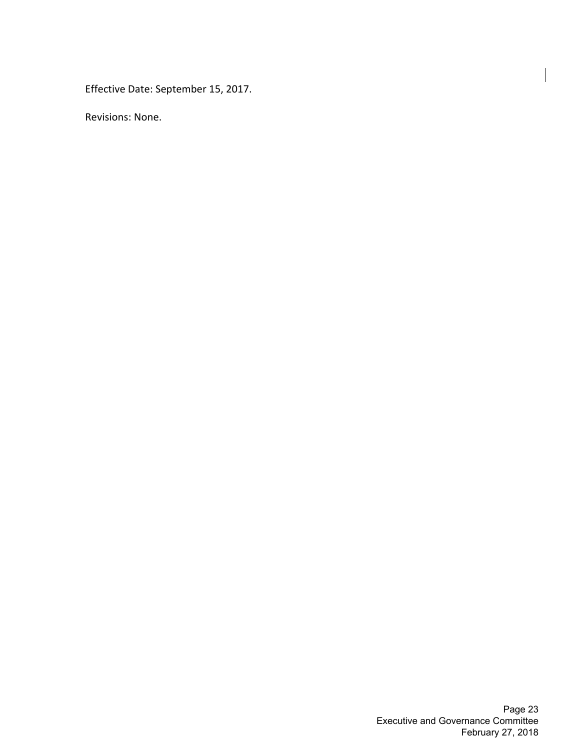Effective Date: September 15, 2017.

Revisions: None.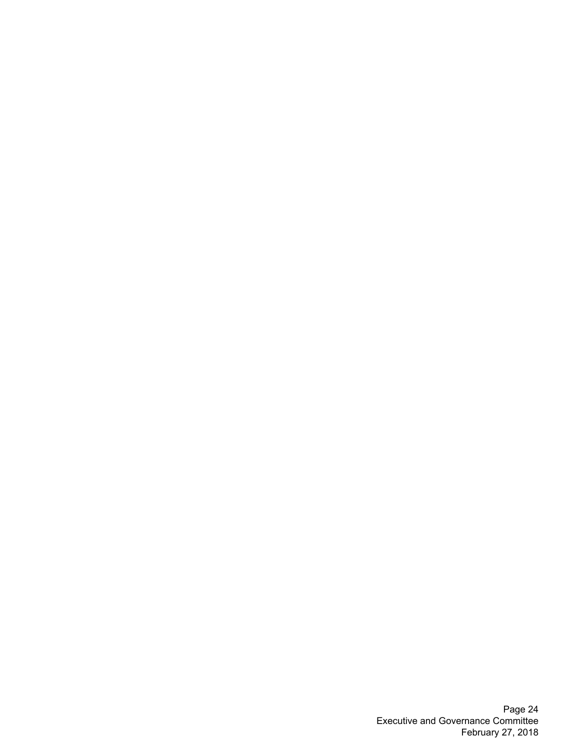Page 24 Executive and Governance Committee February 27, 2018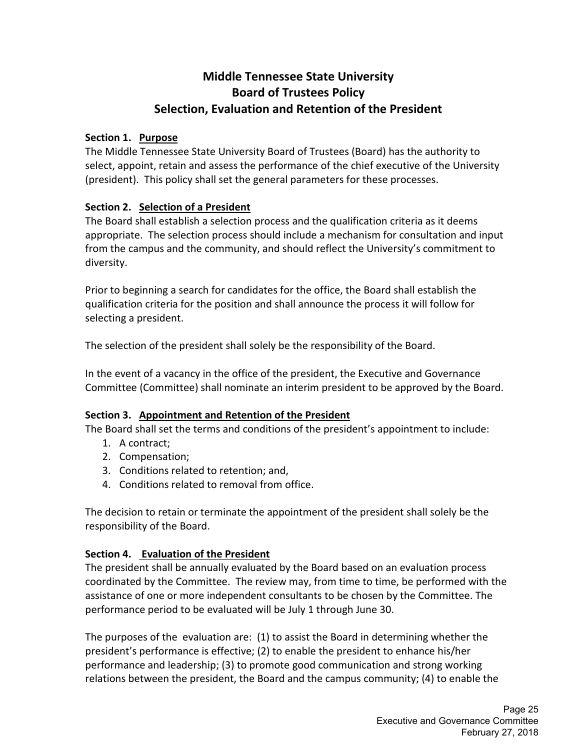## **Middle Tennessee State University Board of Trustees Policy Selection, Evaluation and Retention of the President**

#### **Section 1. Purpose**

The Middle Tennessee State University Board of Trustees (Board) has the authority to select, appoint, retain and assess the performance of the chief executive of the University (president). This policy shall set the general parameters for these processes.

#### **Section 2. Selection of a President**

The Board shall establish a selection process and the qualification criteria as it deems appropriate. The selection process should include a mechanism for consultation and input from the campus and the community, and should reflect the University's commitment to diversity.

Prior to beginning a search for candidates for the office, the Board shall establish the qualification criteria for the position and shall announce the process it will follow for selecting a president.

The selection of the president shall solely be the responsibility of the Board.

In the event of a vacancy in the office of the president, the Executive and Governance Committee (Committee) shall nominate an interim president to be approved by the Board.

#### **Section 3. Appointment and Retention of the President**

The Board shall set the terms and conditions of the president's appointment to include:

- 1. A contract;
- 2. Compensation;
- 3. Conditions related to retention; and,
- 4. Conditions related to removal from office.

The decision to retain or terminate the appointment of the president shall solely be the responsibility of the Board.

#### **Section 4. Evaluation of the President**

The president shall be annually evaluated by the Board based on an evaluation process coordinated by the Committee. The review may, from time to time, be performed with the assistance of one or more independent consultants to be chosen by the Committee. The performance period to be evaluated will be July 1 through June 30.

The purposes of the evaluation are: (1) to assist the Board in determining whether the president's performance is effective; (2) to enable the president to enhance his/her performance and leadership; (3) to promote good communication and strong working relations between the president, the Board and the campus community; (4) to enable the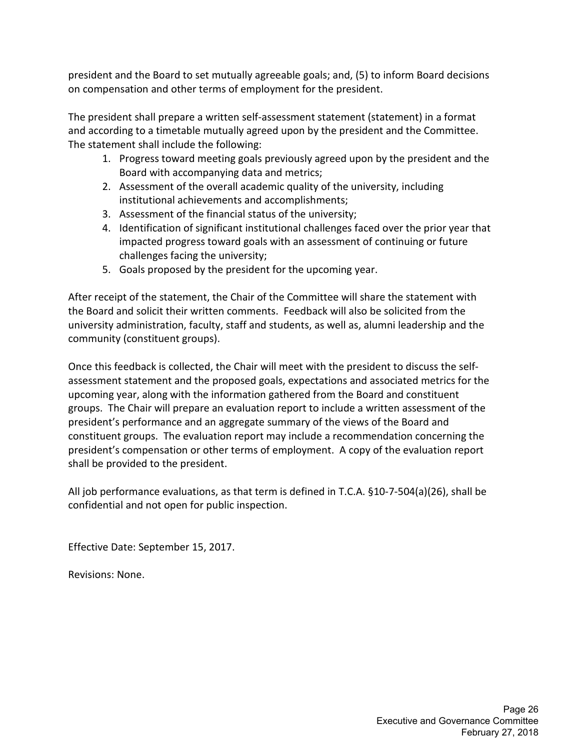president and the Board to set mutually agreeable goals; and, (5) to inform Board decisions on compensation and other terms of employment for the president.

The president shall prepare a written self-assessment statement (statement) in a format and according to a timetable mutually agreed upon by the president and the Committee. The statement shall include the following:

- 1. Progress toward meeting goals previously agreed upon by the president and the Board with accompanying data and metrics;
- 2. Assessment of the overall academic quality of the university, including institutional achievements and accomplishments;
- 3. Assessment of the financial status of the university;
- 4. Identification of significant institutional challenges faced over the prior year that impacted progress toward goals with an assessment of continuing or future challenges facing the university;
- 5. Goals proposed by the president for the upcoming year.

After receipt of the statement, the Chair of the Committee will share the statement with the Board and solicit their written comments. Feedback will also be solicited from the university administration, faculty, staff and students, as well as, alumni leadership and the community (constituent groups).

Once this feedback is collected, the Chair will meet with the president to discuss the selfassessment statement and the proposed goals, expectations and associated metrics for the upcoming year, along with the information gathered from the Board and constituent groups. The Chair will prepare an evaluation report to include a written assessment of the president's performance and an aggregate summary of the views of the Board and constituent groups. The evaluation report may include a recommendation concerning the president's compensation or other terms of employment. A copy of the evaluation report shall be provided to the president.

All job performance evaluations, as that term is defined in T.C.A. §10-7-504(a)(26), shall be confidential and not open for public inspection.

Effective Date: September 15, 2017.

Revisions: None.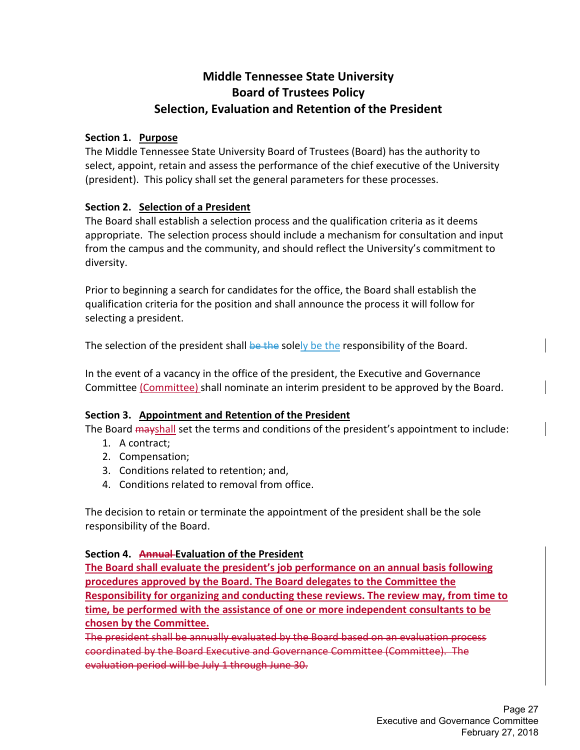## **Middle Tennessee State University Board of Trustees Policy Selection, Evaluation and Retention of the President**

#### **Section 1. Purpose**

The Middle Tennessee State University Board of Trustees (Board) has the authority to select, appoint, retain and assess the performance of the chief executive of the University (president). This policy shall set the general parameters for these processes.

#### **Section 2. Selection of a President**

The Board shall establish a selection process and the qualification criteria as it deems appropriate. The selection process should include a mechanism for consultation and input from the campus and the community, and should reflect the University's commitment to diversity.

Prior to beginning a search for candidates for the office, the Board shall establish the qualification criteria for the position and shall announce the process it will follow for selecting a president.

The selection of the president shall be the solely be the responsibility of the Board.

In the event of a vacancy in the office of the president, the Executive and Governance Committee (Committee) shall nominate an interim president to be approved by the Board.

#### **Section 3. Appointment and Retention of the President**

The Board mayshall set the terms and conditions of the president's appointment to include:

- 1. A contract;
- 2. Compensation;
- 3. Conditions related to retention; and,
- 4. Conditions related to removal from office.

The decision to retain or terminate the appointment of the president shall be the sole responsibility of the Board.

#### **Section 4. Annual Evaluation of the President**

**The Board shall evaluate the president's job performance on an annual basis following procedures approved by the Board. The Board delegates to the Committee the Responsibility for organizing and conducting these reviews. The review may, from time to time, be performed with the assistance of one or more independent consultants to be chosen by the Committee.**

The president shall be annually evaluated by the Board based on an evaluation process coordinated by the Board Executive and Governance Committee (Committee). The evaluation period will be July 1 through June 30.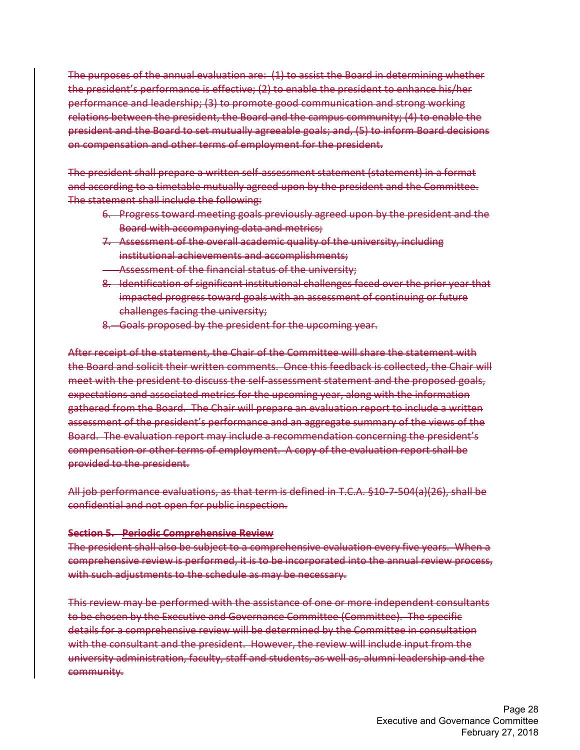The purposes of the annual evaluation are: (1) to assist the Board in determining whether the president's performance is effective; (2) to enable the president to enhance his/her performance and leadership; (3) to promote good communication and strong working relations between the president, the Board and the campus community; (4) to enable the president and the Board to set mutually agreeable goals; and, (5) to inform Board decisions on compensation and other terms of employment for the president.

The president shall prepare a written self-assessment statement (statement) in a format and according to a timetable mutually agreed upon by the president and the Committee. The statement shall include the following:

- 6. Progress toward meeting goals previously agreed upon by the president and the Board with accompanying data and metrics;
- 7. Assessment of the overall academic quality of the university, including institutional achievements and accomplishments;
	- Assessment of the financial status of the university;
- 8. Identification of significant institutional challenges faced over the prior year that impacted progress toward goals with an assessment of continuing or future challenges facing the university;
- 8. Goals proposed by the president for the upcoming year.

After receipt of the statement, the Chair of the Committee will share the statement with the Board and solicit their written comments. Once this feedback is collected, the Chair will meet with the president to discuss the self-assessment statement and the proposed goals, expectations and associated metrics for the upcoming year, along with the information gathered from the Board. The Chair will prepare an evaluation report to include a written assessment of the president's performance and an aggregate summary of the views of the Board. The evaluation report may include a recommendation concerning the president's compensation or other terms of employment. A copy of the evaluation report shall be provided to the president.

All job performance evaluations, as that term is defined in T.C.A. §10-7-504(a)(26), shall be confidential and not open for public inspection.

#### **Section 5. Periodic Comprehensive Review**

The president shall also be subject to a comprehensive evaluation every five years. When a comprehensive review is performed, it is to be incorporated into the annual review process, with such adjustments to the schedule as may be necessary.

This review may be performed with the assistance of one or more independent consultants to be chosen by the Executive and Governance Committee (Committee). The specific details for a comprehensive review will be determined by the Committee in consultation with the consultant and the president. However, the review will include input from the university administration, faculty, staff and students, as well as, alumni leadership and the community.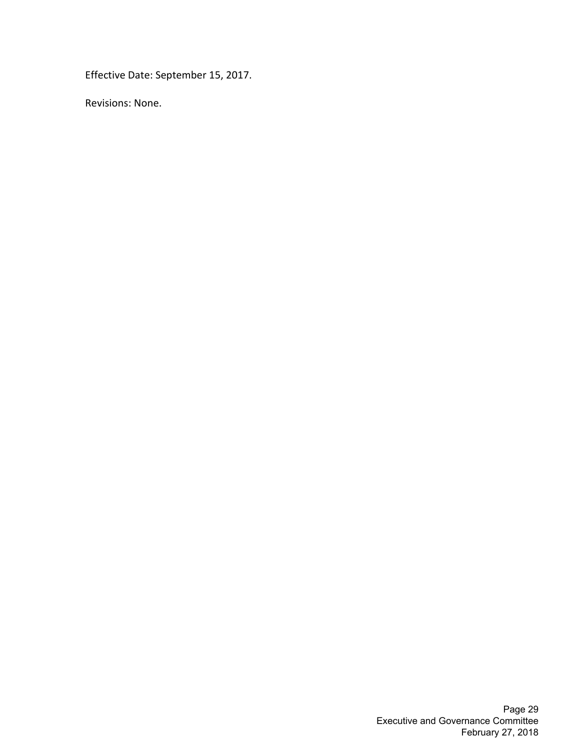Effective Date: September 15, 2017.

Revisions: None.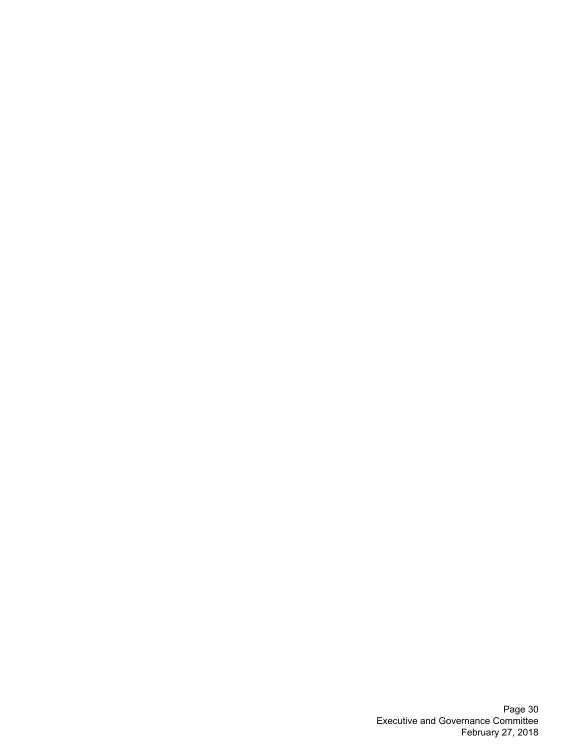Page 30 Executive and Governance Committee February 27, 2018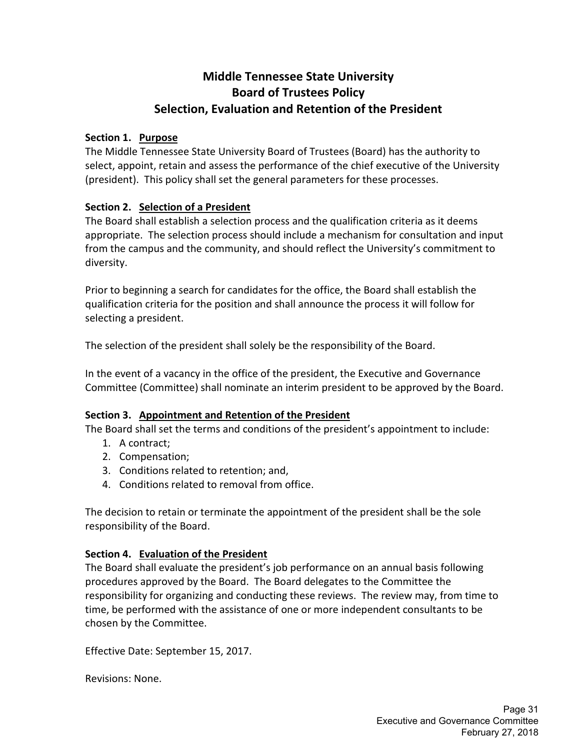## **Middle Tennessee State University Board of Trustees Policy Selection, Evaluation and Retention of the President**

#### **Section 1. Purpose**

The Middle Tennessee State University Board of Trustees (Board) has the authority to select, appoint, retain and assess the performance of the chief executive of the University (president). This policy shall set the general parameters for these processes.

#### **Section 2. Selection of a President**

The Board shall establish a selection process and the qualification criteria as it deems appropriate. The selection process should include a mechanism for consultation and input from the campus and the community, and should reflect the University's commitment to diversity.

Prior to beginning a search for candidates for the office, the Board shall establish the qualification criteria for the position and shall announce the process it will follow for selecting a president.

The selection of the president shall solely be the responsibility of the Board.

In the event of a vacancy in the office of the president, the Executive and Governance Committee (Committee) shall nominate an interim president to be approved by the Board.

#### **Section 3. Appointment and Retention of the President**

The Board shall set the terms and conditions of the president's appointment to include:

- 1. A contract;
- 2. Compensation;
- 3. Conditions related to retention; and,
- 4. Conditions related to removal from office.

The decision to retain or terminate the appointment of the president shall be the sole responsibility of the Board.

#### **Section 4. Evaluation of the President**

The Board shall evaluate the president's job performance on an annual basis following procedures approved by the Board. The Board delegates to the Committee the responsibility for organizing and conducting these reviews. The review may, from time to time, be performed with the assistance of one or more independent consultants to be chosen by the Committee.

Effective Date: September 15, 2017.

Revisions: None.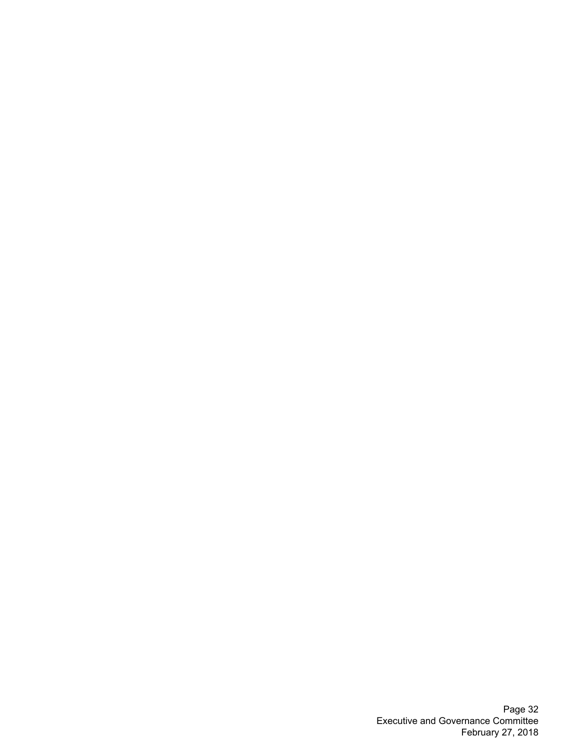Page 32 Executive and Governance Committee February 27, 2018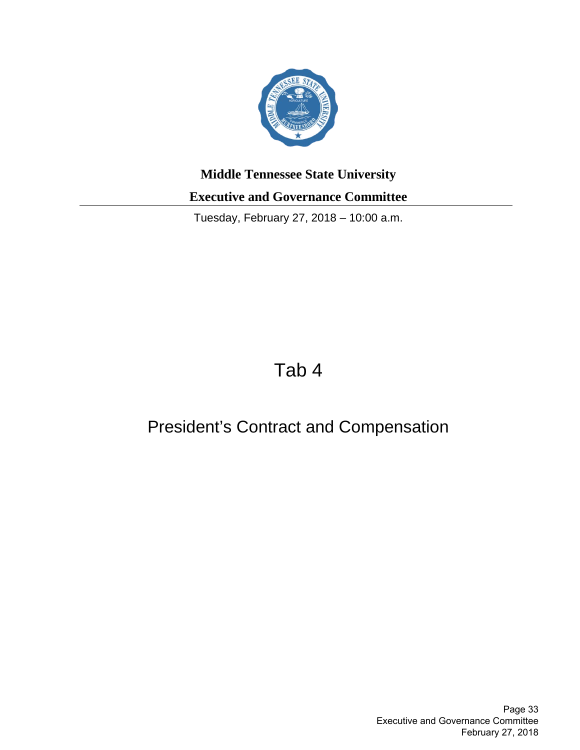

**Middle Tennessee State University**

## **Executive and Governance Committee**

Tuesday, February 27, 2018 – 10:00 a.m.

# Tab 4

## President's Contract and Compensation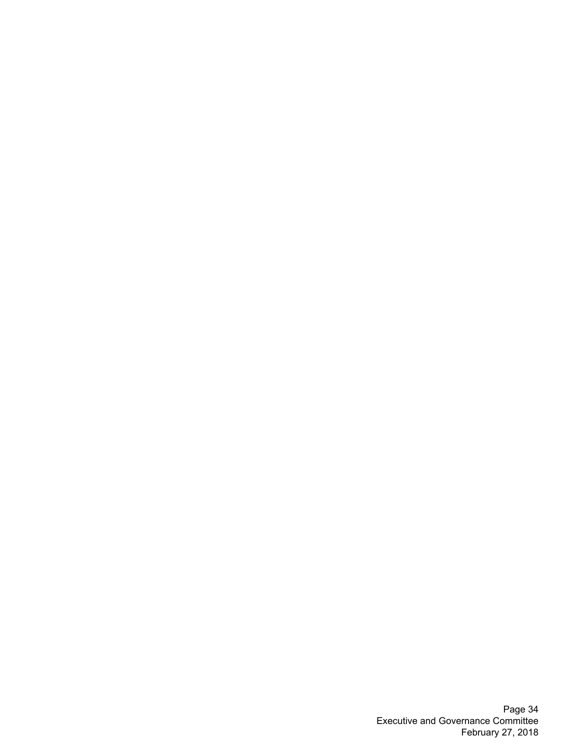Page 34 Executive and Governance Committee February 27, 2018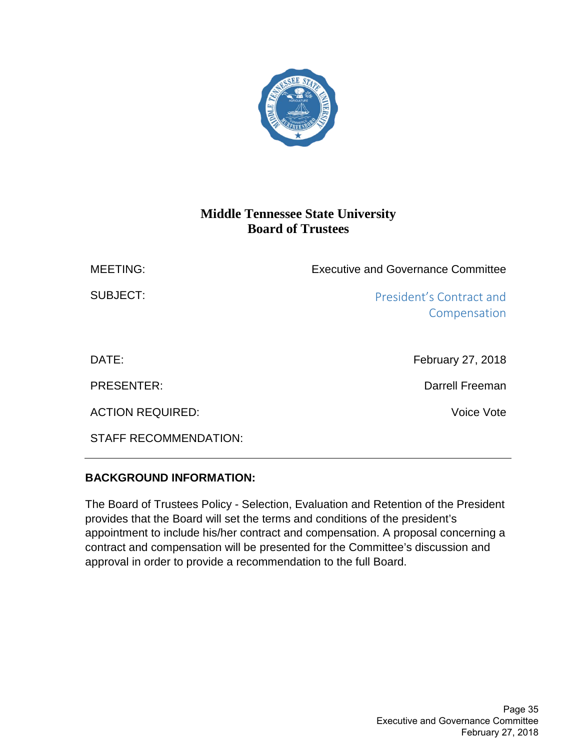

## **Middle Tennessee State University Board of Trustees**

| <b>MEETING:</b>              | <b>Executive and Governance Committee</b> |
|------------------------------|-------------------------------------------|
| <b>SUBJECT:</b>              | President's Contract and<br>Compensation  |
| DATE:                        | February 27, 2018                         |
| <b>PRESENTER:</b>            | Darrell Freeman                           |
| <b>ACTION REQUIRED:</b>      | Voice Vote                                |
| <b>STAFF RECOMMENDATION:</b> |                                           |
|                              |                                           |

### **BACKGROUND INFORMATION:**

The Board of Trustees Policy - Selection, Evaluation and Retention of the President provides that the Board will set the terms and conditions of the president's appointment to include his/her contract and compensation. A proposal concerning a contract and compensation will be presented for the Committee's discussion and approval in order to provide a recommendation to the full Board.